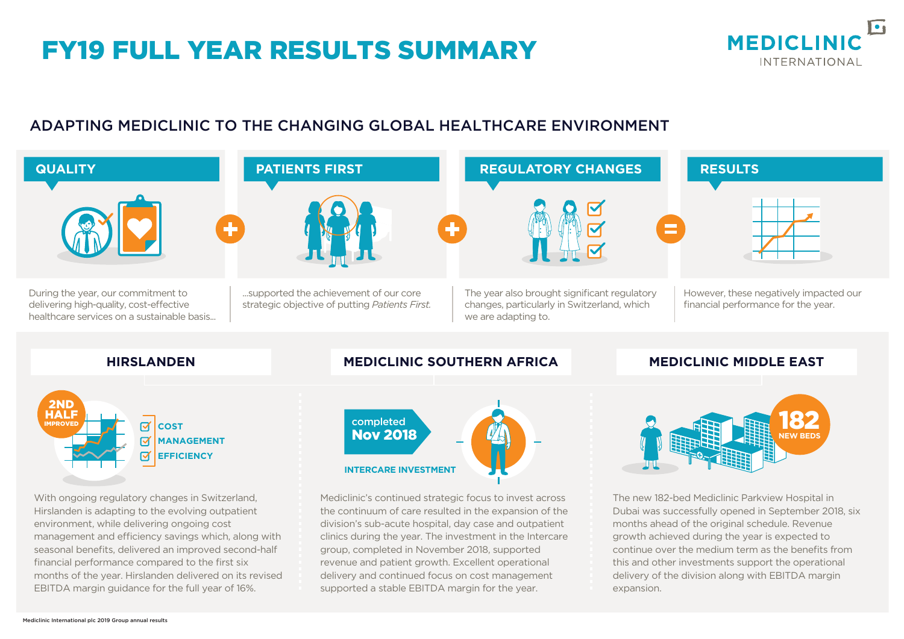## FY19 FULL YEAR RESULTS SUMMARY



#### ADAPTING MEDICLINIC TO THE CHANGING GLOBAL HEALTHCARE ENVIRONMENT



management and efficiency savings which, along with seasonal benefits, delivered an improved second-half months of the year. Hirslanden delivered on its revised the continuum of care resulted in the expansion of the division's sub-acute hospital, day case and outpatient clinics during the year. The investment in the Intercare group, completed in November 2018, supported revenue and patient growth. Excellent operational delivery and continued focus on cost management supported a stable EBITDA margin for the year.



environment, while delivering ongoing cost

financial performance compared to the first six

EBITDA margin guidance for the full year of 16%.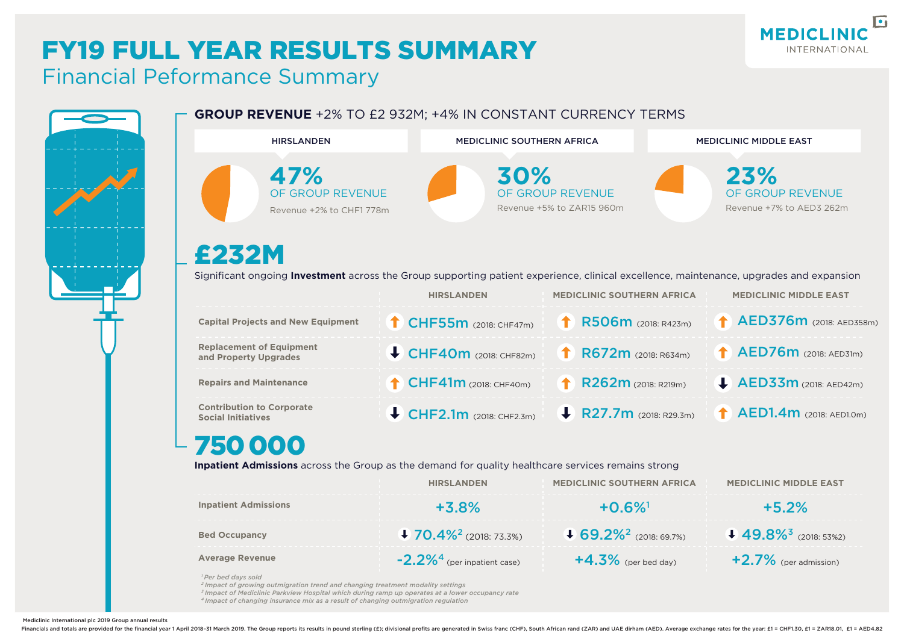#### $\sqrt{2}$ **MEDICLINIC INTERNATIONAL**

# FY19 FULL YEAR RESULTS SUMMARY

### Financial Peformance Summary

| <b>HIRSLANDEN</b>                                                                                                                                                                                                                                                                                                                            | <b>MEDICLINIC SOUTHERN AFRICA</b>    |                                               | <b>MEDICLINIC MIDDLE EAST</b>                       |  |
|----------------------------------------------------------------------------------------------------------------------------------------------------------------------------------------------------------------------------------------------------------------------------------------------------------------------------------------------|--------------------------------------|-----------------------------------------------|-----------------------------------------------------|--|
| 47%<br>OF GROUP REVENUE<br>Revenue +2% to CHF1 778m                                                                                                                                                                                                                                                                                          | 30%                                  | OF GROUP REVENUE<br>Revenue +5% to ZAR15 960m | 23%<br>OF GROUP REVENUE<br>Revenue +7% to AED3 262m |  |
| £232M<br>Significant ongoing Investment across the Group supporting patient experience, clinical excellence, maintenance, upgrades and expansion                                                                                                                                                                                             |                                      |                                               |                                                     |  |
|                                                                                                                                                                                                                                                                                                                                              | <b>HIRSLANDEN</b>                    | <b>MEDICLINIC SOUTHERN AFRICA</b>             | <b>MEDICLINIC MIDDLE EAST</b>                       |  |
| <b>Capital Projects and New Equipment</b>                                                                                                                                                                                                                                                                                                    | CHF55m (2018: CHF47m)                | R506m (2018: R423m)                           | AED376m (2018: AED358m)                             |  |
| <b>Replacement of Equipment</b><br>and Property Upgrades                                                                                                                                                                                                                                                                                     | $\bigcup$ CHF40m (2018: CHF82m)      | R672m (2018: R634m)                           | <b>AED76m</b> (2018: AED31m)                        |  |
| <b>Repairs and Maintenance</b>                                                                                                                                                                                                                                                                                                               | $\uparrow$ CHF41m (2018: CHF40m)     | R262m (2018: R219m)                           | $\blacktriangleright$ AED33m (2018: AED42m)         |  |
| <b>Contribution to Corporate</b><br><b>Social Initiatives</b>                                                                                                                                                                                                                                                                                | $\bigcup$ CHF2.1m (2018: CHF2.3m)    | R27.7m (2018: R29.3m)                         | $\uparrow$ AED1.4m (2018: AED1.0m)                  |  |
| 750000<br>Inpatient Admissions across the Group as the demand for quality healthcare services remains strong                                                                                                                                                                                                                                 |                                      |                                               |                                                     |  |
|                                                                                                                                                                                                                                                                                                                                              | <b>HIRSLANDEN</b>                    | <b>MEDICLINIC SOUTHERN AFRICA</b>             | <b>MEDICLINIC MIDDLE EAST</b>                       |  |
| <b>Inpatient Admissions</b>                                                                                                                                                                                                                                                                                                                  | $+3.8%$                              | $+0.6\%$ <sup>1</sup>                         | $+5.2%$                                             |  |
| <b>Bed Occupancy</b>                                                                                                                                                                                                                                                                                                                         | $+70.4\%$ <sup>2</sup> (2018: 73.3%) | $+ 69.2\%^2$ (2018: 69.7%)                    | $49.8\%$ <sup>3</sup> (2018: 53%2)                  |  |
| <b>Average Revenue</b>                                                                                                                                                                                                                                                                                                                       | $-2.2\%4$ (per inpatient case)       | $+4.3\%$ (per bed day)                        | $+2.7\%$ (per admission)                            |  |
| <sup>1</sup> Per bed days sold<br><sup>2</sup> Impact of growing outmigration trend and changing treatment modality settings<br><sup>3</sup> Impact of Mediclinic Parkview Hospital which during ramp up operates at a lower occupancy rate<br><sup>4</sup> Impact of changing insurance mix as a result of changing outmigration regulation |                                      |                                               |                                                     |  |

Mediclinic International plc 2019 Group annual results